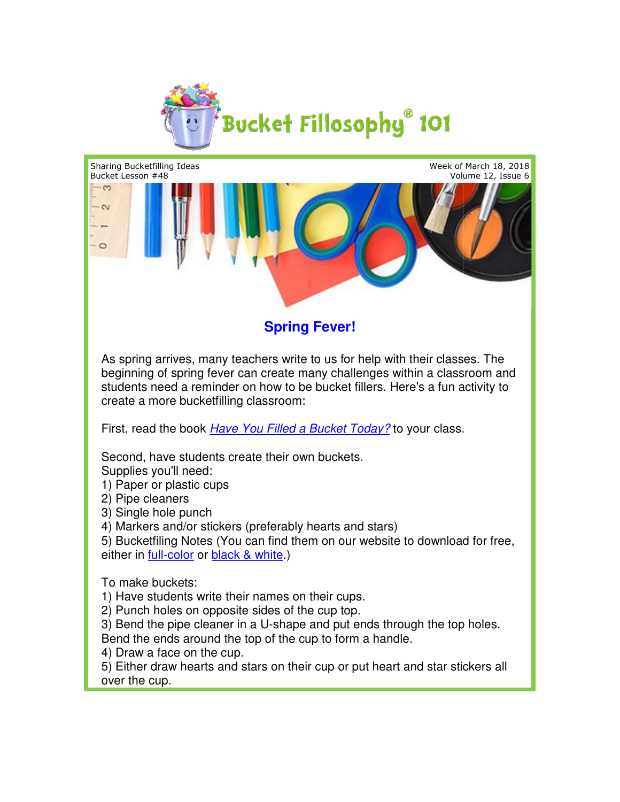



**Spring Fever!**

As spring arrives, many teachers write to us for help with their classes. The As spring arrives, many teachers write to us for help with their classes. The<br>beginning of spring fever can create many challenges within a classroom and students need a reminder on how to be bucket fillers. Here's a fun activity to create a more bucketfilling classroom: bucketfilling classroom:

First, read the book *Have [You Filled a Bucket Today?](http://www.bucketfillers101.com/have-you-filled-a-bucket-today.php)* to your class.

Second, have students create their own buckets. Supplies you'll need:

1) Paper or plastic cups

2) Pipe cleaners

3) Single hole punch

4) Markers and/or stickers (preferably hearts and stars)

5) Bucketfiling Notes (You can find them on our website to download for free,<br>either in <u>full-color</u> or <u>black & white</u>.) either in [full-color](http://www.bucketfillers101.com/pdfs/BucketfillingNotes2Color.pdf) or [black & white](http://www.bucketfillers101.com/pdfs/BucketfillingNotes2BW.pdf).)

To make buckets:

1) Have students write their names on their cups. Have students

2) Punch holes on opposite sides of the cup top.

3) Bend the pipe cleaner in a U-shape and put ends through the top holes. Bend the ends around the top of the cup to form a handle.

4) Draw a face on the cup.

5) Either draw hearts and stars on their cup or put heart and star stickers all over the cup.